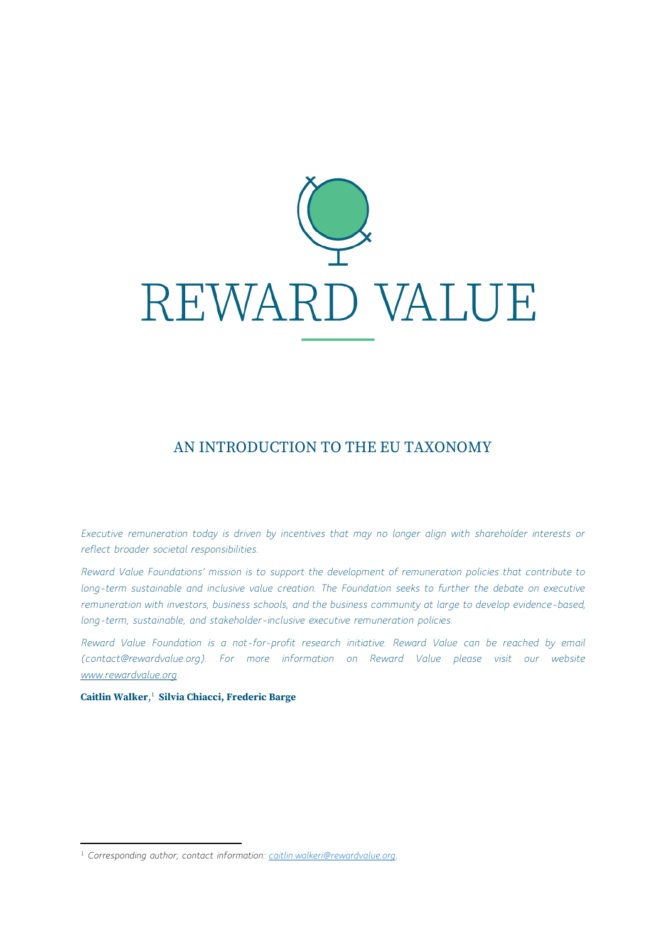

## AN INTRODUCTION TO THE EU TAXONOMY

*Executive remuneration today is driven by incentives that may no longer align with shareholder interests or reflect broader societal responsibilities.*

*Reward Value Foundations' mission is to support the development of remuneration policies that contribute to long-term sustainable and inclusive value creation. The Foundation seeks to further the debate on executive remuneration with investors, business schools, and the business community at large to develop evidence-based, long-term, sustainable, and stakeholder-inclusive executive remuneration policies.*

*Reward Value Foundation is a not-for-profit research initiative. Reward Value can be reached by email (contact@rewardvalue.org). For more information on Reward Value please visit our website [www.rewardvalue.org.](http://www.rewardvalue.org/)*

**Caitlin Walker**, 1 **Silvia Chiacci, Frederic Barge**

<sup>1</sup> *Corresponding author; contact information: [caitlin.walkeri@rewardvalue.org.](mailto:caitlin.walkeri@rewardvalue.org)*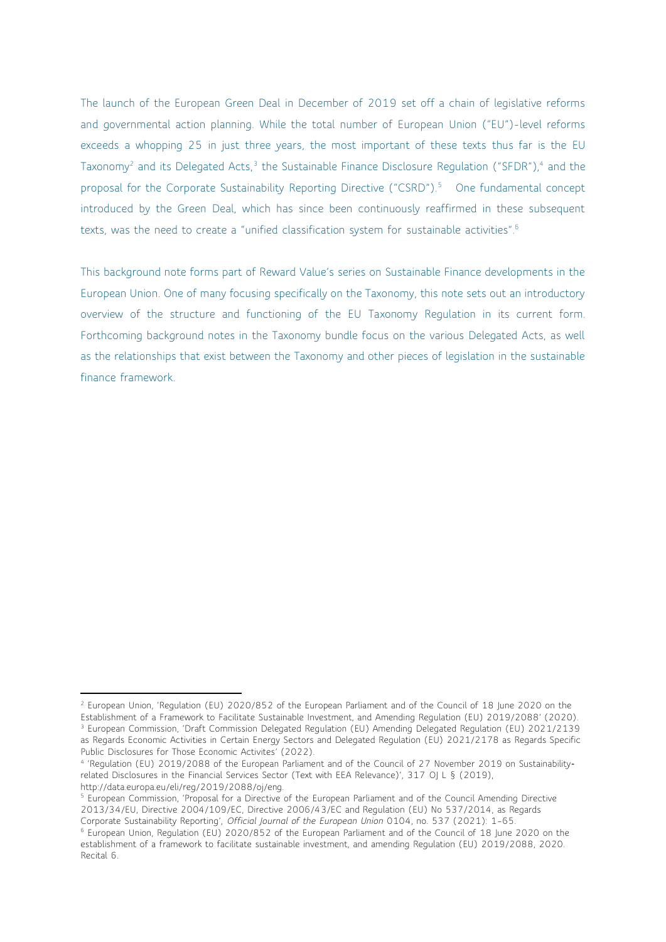The launch of the European Green Deal in December of 2019 set off a chain of legislative reforms and governmental action planning. While the total number of European Union ("EU")-level reforms exceeds a whopping 25 in just three years, the most important of these texts thus far is the EU Taxonomy<sup>2</sup> and its Delegated Acts,<sup>3</sup> the Sustainable Finance Disclosure Regulation ("SFDR"),<sup>4</sup> and the proposal for the Corporate Sustainability Reporting Directive ("CSRD").<sup>5</sup> One fundamental concept introduced by the Green Deal, which has since been continuously reaffirmed in these subsequent texts, was the need to create a "unified classification system for sustainable activities". 6

This background note forms part of Reward Value's series on Sustainable Finance developments in the European Union. One of many focusing specifically on the Taxonomy, this note sets out an introductory overview of the structure and functioning of the EU Taxonomy Regulation in its current form. Forthcoming background notes in the Taxonomy bundle focus on the various Delegated Acts, as well as the relationships that exist between the Taxonomy and other pieces of legislation in the sustainable finance framework.

<sup>2</sup> European Union, 'Regulation (EU) 2020/852 of the European Parliament and of the Council of 18 June 2020 on the Establishment of a Framework to Facilitate Sustainable Investment, and Amending Regulation (EU) 2019/2088' (2020). <sup>3</sup> European Commission, 'Draft Commission Delegated Regulation (EU) Amending Delegated Regulation (EU) 2021/2139 as Regards Economic Activities in Certain Energy Sectors and Delegated Regulation (EU) 2021/2178 as Regards Specific Public Disclosures for Those Economic Activites' (2022).

<sup>4</sup> 'Regulation (EU) 2019/2088 of the European Parliament and of the Council of 27 November 2019 on Sustainability‐ related Disclosures in the Financial Services Sector (Text with EEA Relevance)', 317 OJ L § (2019), http://data.europa.eu/eli/reg/2019/2088/oj/eng.

<sup>&</sup>lt;sup>5</sup> European Commission, 'Proposal for a Directive of the European Parliament and of the Council Amending Directive 2013/34/EU, Directive 2004/109/EC, Directive 2006/43/EC and Regulation (EU) No 537/2014, as Regards Corporate Sustainability Reporting', *Official Journal of the European Union* 0104, no. 537 (2021): 1–65.

<sup>6</sup> European Union, Regulation (EU) 2020/852 of the European Parliament and of the Council of 18 June 2020 on the establishment of a framework to facilitate sustainable investment, and amending Regulation (EU) 2019/2088, 2020. Recital 6.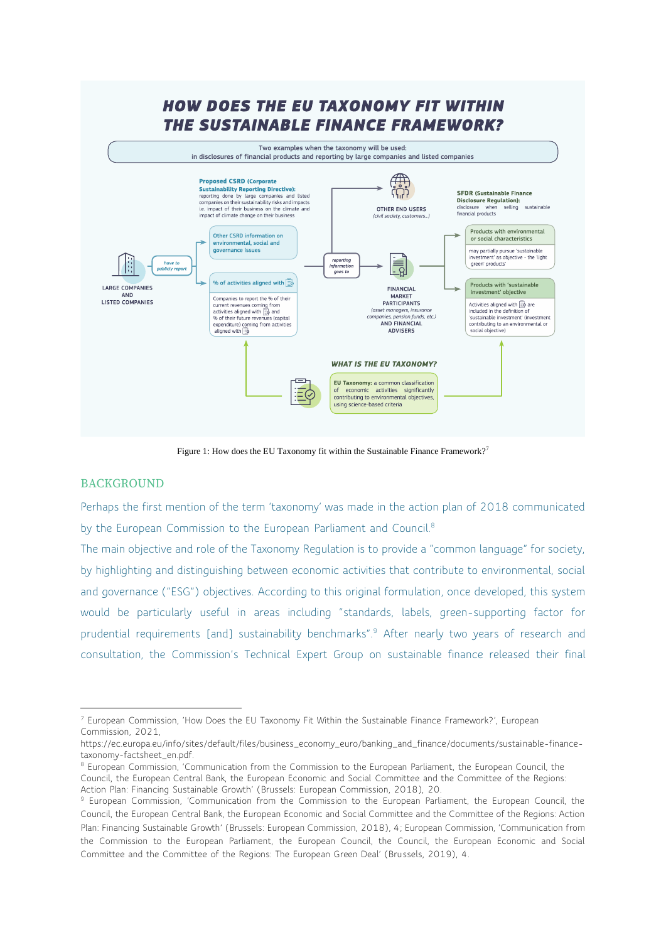

Figure 1: How does the EU Taxonomy fit within the Sustainable Finance Framework?<sup>7</sup>

## BACKGROUND

Perhaps the first mention of the term 'taxonomy' was made in the action plan of 2018 communicated by the European Commission to the European Parliament and Council.<sup>8</sup>

The main objective and role of the Taxonomy Regulation is to provide a "common language" for society, by highlighting and distinguishing between economic activities that contribute to environmental, social and governance ("ESG") objectives. According to this original formulation, once developed, this system would be particularly useful in areas including "standards, labels, green-supporting factor for prudential requirements [and] sustainability benchmarks".<sup>9</sup> After nearly two years of research and consultation, the Commission's Technical Expert Group on sustainable finance released their final

<sup>7</sup> European Commission, 'How Does the EU Taxonomy Fit Within the Sustainable Finance Framework?', European Commission, 2021,

https://ec.europa.eu/info/sites/default/files/business\_economy\_euro/banking\_and\_finance/documents/sustainable-financetaxonomy-factsheet\_en.pdf.

<sup>8</sup> European Commission, 'Communication from the Commission to the European Parliament, the European Council, the Council, the European Central Bank, the European Economic and Social Committee and the Committee of the Regions: Action Plan: Financing Sustainable Growth' (Brussels: European Commission, 2018), 20.

<sup>9</sup> European Commission, 'Communication from the Commission to the European Parliament, the European Council, the Council, the European Central Bank, the European Economic and Social Committee and the Committee of the Regions: Action Plan: Financing Sustainable Growth' (Brussels: European Commission, 2018), 4; European Commission, 'Communication from the Commission to the European Parliament, the European Council, the Council, the European Economic and Social Committee and the Committee of the Regions: The European Green Deal' (Brussels, 2019), 4.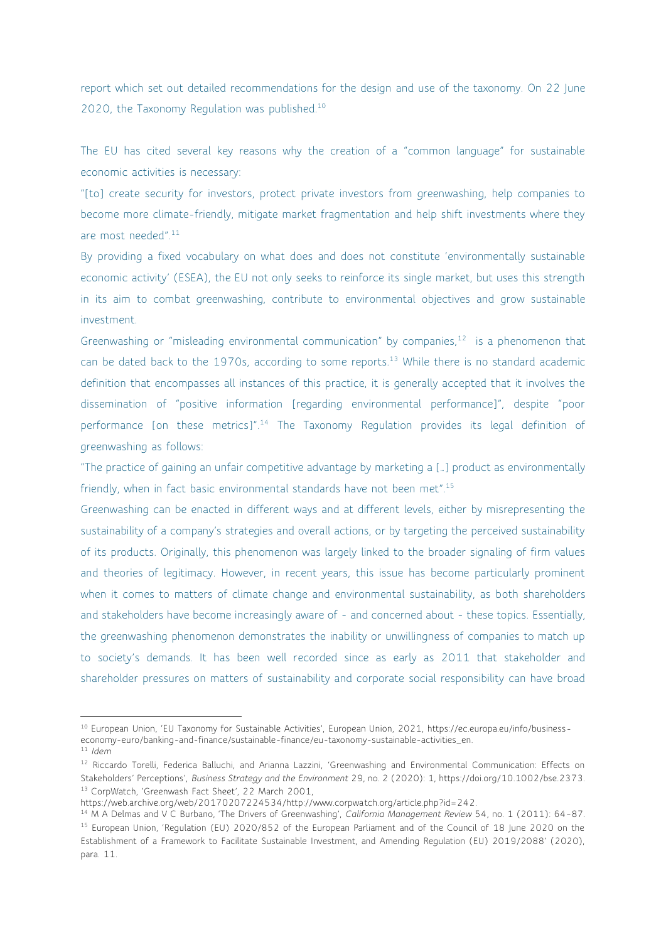report which set out detailed recommendations for the design and use of the taxonomy. On 22 June 2020, the Taxonomy Regulation was published.<sup>10</sup>

The EU has cited several key reasons why the creation of a "common language" for sustainable economic activities is necessary:

"[to] create security for investors, protect private investors from greenwashing, help companies to become more climate-friendly, mitigate market fragmentation and help shift investments where they are most needed".<sup>11</sup>

By providing a fixed vocabulary on what does and does not constitute 'environmentally sustainable economic activity' (ESEA), the EU not only seeks to reinforce its single market, but uses this strength in its aim to combat greenwashing, contribute to environmental objectives and grow sustainable investment.

Greenwashing or "misleading environmental communication" by companies,<sup>12</sup> is a phenomenon that can be dated back to the 1970s, according to some reports.<sup>13</sup> While there is no standard academic definition that encompasses all instances of this practice, it is generally accepted that it involves the dissemination of "positive information [regarding environmental performance]", despite "poor performance [on these metrics]".<sup>14</sup> The Taxonomy Regulation provides its legal definition of greenwashing as follows:

"The practice of gaining an unfair competitive advantage by marketing a […] product as environmentally friendly, when in fact basic environmental standards have not been met".<sup>15</sup>

Greenwashing can be enacted in different ways and at different levels, either by misrepresenting the sustainability of a company's strategies and overall actions, or by targeting the perceived sustainability of its products. Originally, this phenomenon was largely linked to the broader signaling of firm values and theories of legitimacy. However, in recent years, this issue has become particularly prominent when it comes to matters of climate change and environmental sustainability, as both shareholders and stakeholders have become increasingly aware of - and concerned about - these topics. Essentially, the greenwashing phenomenon demonstrates the inability or unwillingness of companies to match up to society's demands. It has been well recorded since as early as 2011 that stakeholder and shareholder pressures on matters of sustainability and corporate social responsibility can have broad

<sup>10</sup> European Union, 'EU Taxonomy for Sustainable Activities', European Union, 2021, https://ec.europa.eu/info/business-

economy-euro/banking-and-finance/sustainable-finance/eu-taxonomy-sustainable-activities\_en.

<sup>11</sup> *Idem*

<sup>&</sup>lt;sup>12</sup> Riccardo Torelli, Federica Balluchi, and Arianna Lazzini, 'Greenwashing and Environmental Communication: Effects on Stakeholders' Perceptions', *Business Strategy and the Environment* 29, no. 2 (2020): 1, https://doi.org/10.1002/bse.2373. <sup>13</sup> CorpWatch, 'Greenwash Fact Sheet', 22 March 2001,

https://web.archive.org/web/20170207224534/http://www.corpwatch.org/article.php?id=242.

<sup>14</sup> M A Delmas and V C Burbano, 'The Drivers of Greenwashing', *California Management Review* 54, no. 1 (2011): 64–87. <sup>15</sup> European Union, 'Regulation (EU) 2020/852 of the European Parliament and of the Council of 18 June 2020 on the Establishment of a Framework to Facilitate Sustainable Investment, and Amending Regulation (EU) 2019/2088' (2020), para. 11.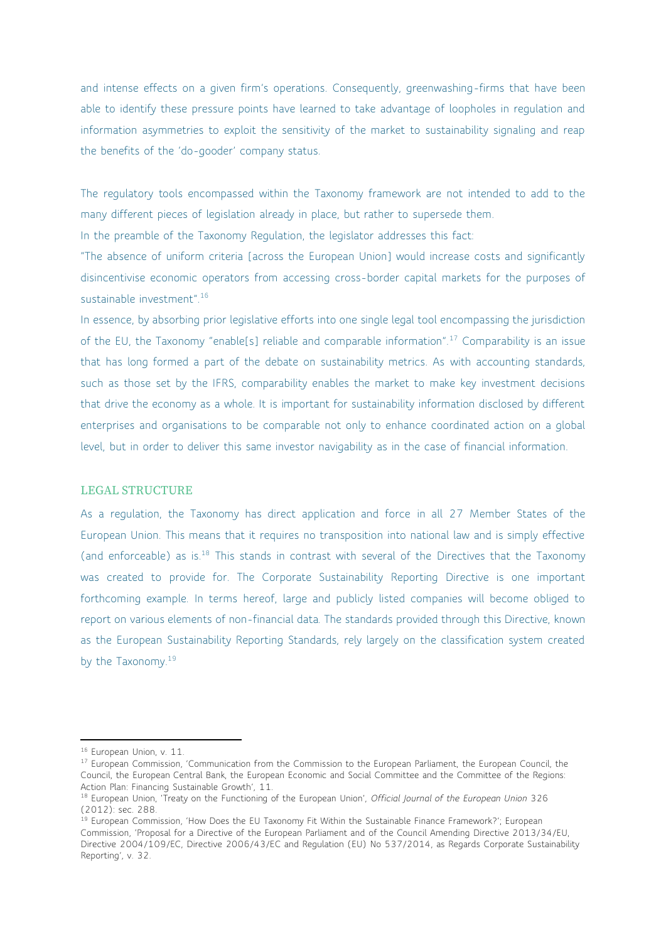and intense effects on a given firm's operations. Consequently, greenwashing-firms that have been able to identify these pressure points have learned to take advantage of loopholes in regulation and information asymmetries to exploit the sensitivity of the market to sustainability signaling and reap the benefits of the 'do-gooder' company status.

The regulatory tools encompassed within the Taxonomy framework are not intended to add to the many different pieces of legislation already in place, but rather to supersede them.

In the preamble of the Taxonomy Regulation, the legislator addresses this fact:

"The absence of uniform criteria [across the European Union] would increase costs and significantly disincentivise economic operators from accessing cross-border capital markets for the purposes of sustainable investment".<sup>16</sup>

In essence, by absorbing prior legislative efforts into one single legal tool encompassing the jurisdiction of the EU, the Taxonomy "enable[s] reliable and comparable information".<sup>17</sup> Comparability is an issue that has long formed a part of the debate on sustainability metrics. As with accounting standards, such as those set by the IFRS, comparability enables the market to make key investment decisions that drive the economy as a whole. It is important for sustainability information disclosed by different enterprises and organisations to be comparable not only to enhance coordinated action on a global level, but in order to deliver this same investor navigability as in the case of financial information.

## LEGAL STRUCTURE

As a regulation, the Taxonomy has direct application and force in all 27 Member States of the European Union. This means that it requires no transposition into national law and is simply effective (and enforceable) as is.<sup>18</sup> This stands in contrast with several of the Directives that the Taxonomy was created to provide for. The Corporate Sustainability Reporting Directive is one important forthcoming example. In terms hereof, large and publicly listed companies will become obliged to report on various elements of non-financial data. The standards provided through this Directive, known as the European Sustainability Reporting Standards, rely largely on the classification system created by the Taxonomy.<sup>19</sup>

<sup>16</sup> European Union, v. 11.

<sup>&</sup>lt;sup>17</sup> European Commission, 'Communication from the Commission to the European Parliament, the European Council, the Council, the European Central Bank, the European Economic and Social Committee and the Committee of the Regions: Action Plan: Financing Sustainable Growth', 11.

<sup>18</sup> European Union, 'Treaty on the Functioning of the European Union', *Official Journal of the European Union* 326 (2012): sec. 288.

<sup>&</sup>lt;sup>19</sup> European Commission, 'How Does the EU Taxonomy Fit Within the Sustainable Finance Framework?'; European Commission, 'Proposal for a Directive of the European Parliament and of the Council Amending Directive 2013/34/EU, Directive 2004/109/EC, Directive 2006/43/EC and Regulation (EU) No 537/2014, as Regards Corporate Sustainability Reporting', v. 32.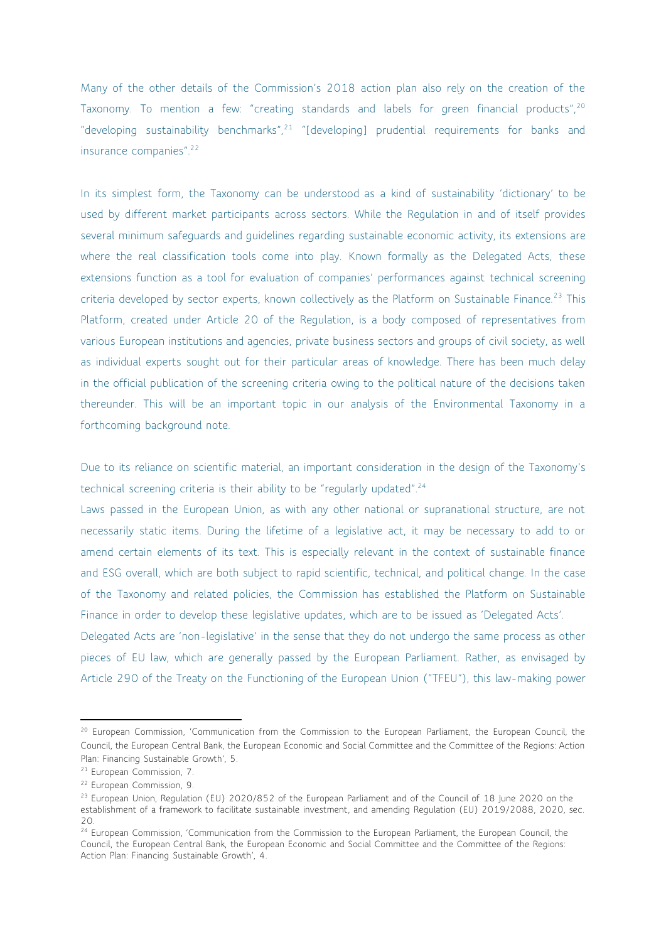Many of the other details of the Commission's 2018 action plan also rely on the creation of the Taxonomy. To mention a few: "creating standards and labels for green financial products",<sup>20</sup> "developing sustainability benchmarks",  $21$  "[developing] prudential requirements for banks and insurance companies".<sup>22</sup>

In its simplest form, the Taxonomy can be understood as a kind of sustainability 'dictionary' to be used by different market participants across sectors. While the Regulation in and of itself provides several minimum safeguards and guidelines regarding sustainable economic activity, its extensions are where the real classification tools come into play. Known formally as the Delegated Acts, these extensions function as a tool for evaluation of companies' performances against technical screening criteria developed by sector experts, known collectively as the Platform on Sustainable Finance.<sup>23</sup> This Platform, created under Article 20 of the Regulation, is a body composed of representatives from various European institutions and agencies, private business sectors and groups of civil society, as well as individual experts sought out for their particular areas of knowledge. There has been much delay in the official publication of the screening criteria owing to the political nature of the decisions taken thereunder. This will be an important topic in our analysis of the Environmental Taxonomy in a forthcoming background note.

Due to its reliance on scientific material, an important consideration in the design of the Taxonomy's technical screening criteria is their ability to be "regularly updated".<sup>24</sup>

Laws passed in the European Union, as with any other national or supranational structure, are not necessarily static items. During the lifetime of a legislative act, it may be necessary to add to or amend certain elements of its text. This is especially relevant in the context of sustainable finance and ESG overall, which are both subject to rapid scientific, technical, and political change. In the case of the Taxonomy and related policies, the Commission has established the Platform on Sustainable Finance in order to develop these legislative updates, which are to be issued as 'Delegated Acts'.

Delegated Acts are 'non-legislative' in the sense that they do not undergo the same process as other pieces of EU law, which are generally passed by the European Parliament. Rather, as envisaged by Article 290 of the Treaty on the Functioning of the European Union ("TFEU"), this law-making power

<sup>&</sup>lt;sup>20</sup> European Commission, 'Communication from the Commission to the European Parliament, the European Council, the Council, the European Central Bank, the European Economic and Social Committee and the Committee of the Regions: Action Plan: Financing Sustainable Growth', 5.

<sup>21</sup> European Commission, 7.

<sup>22</sup> European Commission, 9.

<sup>&</sup>lt;sup>23</sup> European Union, Regulation (EU) 2020/852 of the European Parliament and of the Council of 18 June 2020 on the establishment of a framework to facilitate sustainable investment, and amending Regulation (EU) 2019/2088, 2020, sec.  $20$ 

<sup>&</sup>lt;sup>24</sup> European Commission, 'Communication from the Commission to the European Parliament, the European Council, the Council, the European Central Bank, the European Economic and Social Committee and the Committee of the Regions: Action Plan: Financing Sustainable Growth', 4.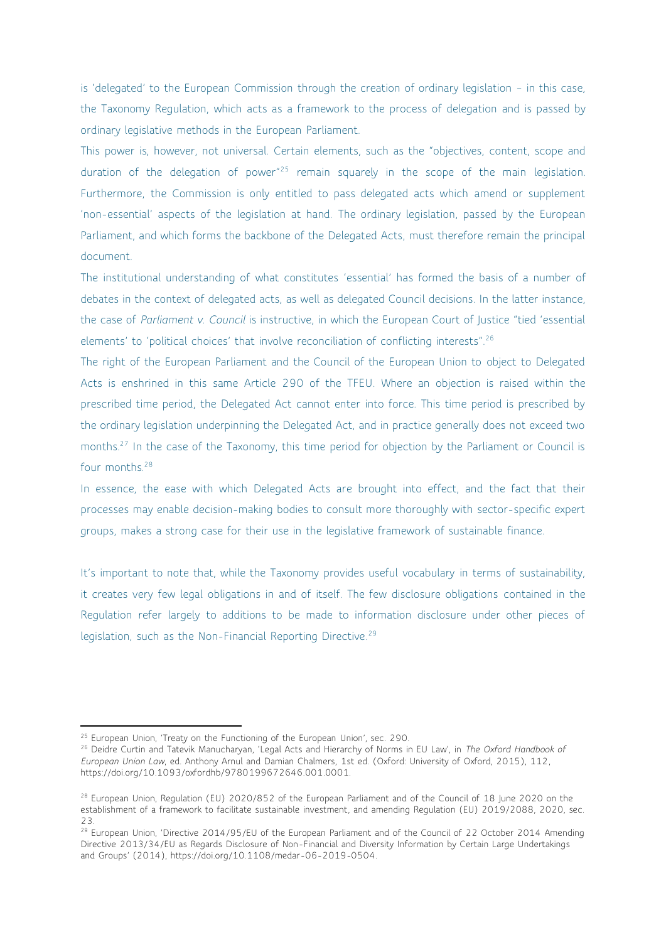is 'delegated' to the European Commission through the creation of ordinary legislation – in this case, the Taxonomy Regulation, which acts as a framework to the process of delegation and is passed by ordinary legislative methods in the European Parliament.

This power is, however, not universal. Certain elements, such as the "objectives, content, scope and duration of the delegation of power<sup>"25</sup> remain squarely in the scope of the main legislation. Furthermore, the Commission is only entitled to pass delegated acts which amend or supplement 'non-essential' aspects of the legislation at hand. The ordinary legislation, passed by the European Parliament, and which forms the backbone of the Delegated Acts, must therefore remain the principal document.

The institutional understanding of what constitutes 'essential' has formed the basis of a number of debates in the context of delegated acts, as well as delegated Council decisions. In the latter instance, the case of *Parliament v. Council* is instructive, in which the European Court of Justice "tied 'essential elements' to 'political choices' that involve reconciliation of conflicting interests".<sup>26</sup>

The right of the European Parliament and the Council of the European Union to object to Delegated Acts is enshrined in this same Article 290 of the TFEU. Where an objection is raised within the prescribed time period, the Delegated Act cannot enter into force. This time period is prescribed by the ordinary legislation underpinning the Delegated Act, and in practice generally does not exceed two months.<sup>27</sup> In the case of the Taxonomy, this time period for objection by the Parliament or Council is four months.<sup>28</sup>

In essence, the ease with which Delegated Acts are brought into effect, and the fact that their processes may enable decision-making bodies to consult more thoroughly with sector-specific expert groups, makes a strong case for their use in the legislative framework of sustainable finance.

It's important to note that, while the Taxonomy provides useful vocabulary in terms of sustainability, it creates very few legal obligations in and of itself. The few disclosure obligations contained in the Regulation refer largely to additions to be made to information disclosure under other pieces of legislation, such as the Non-Financial Reporting Directive.<sup>29</sup>

<sup>&</sup>lt;sup>25</sup> European Union, 'Treaty on the Functioning of the European Union', sec. 290.

<sup>26</sup> Deidre Curtin and Tatevik Manucharyan, 'Legal Acts and Hierarchy of Norms in EU Law', in *The Oxford Handbook of European Union Law*, ed. Anthony Arnul and Damian Chalmers, 1st ed. (Oxford: University of Oxford, 2015), 112, https://doi.org/10.1093/oxfordhb/9780199672646.001.0001.

<sup>&</sup>lt;sup>28</sup> European Union, Regulation (EU) 2020/852 of the European Parliament and of the Council of 18 June 2020 on the establishment of a framework to facilitate sustainable investment, and amending Regulation (EU) 2019/2088, 2020, sec. 23.

<sup>&</sup>lt;sup>29</sup> European Union, 'Directive 2014/95/EU of the European Parliament and of the Council of 22 October 2014 Amending Directive 2013/34/EU as Regards Disclosure of Non-Financial and Diversity Information by Certain Large Undertakings and Groups' (2014), https://doi.org/10.1108/medar-06-2019-0504.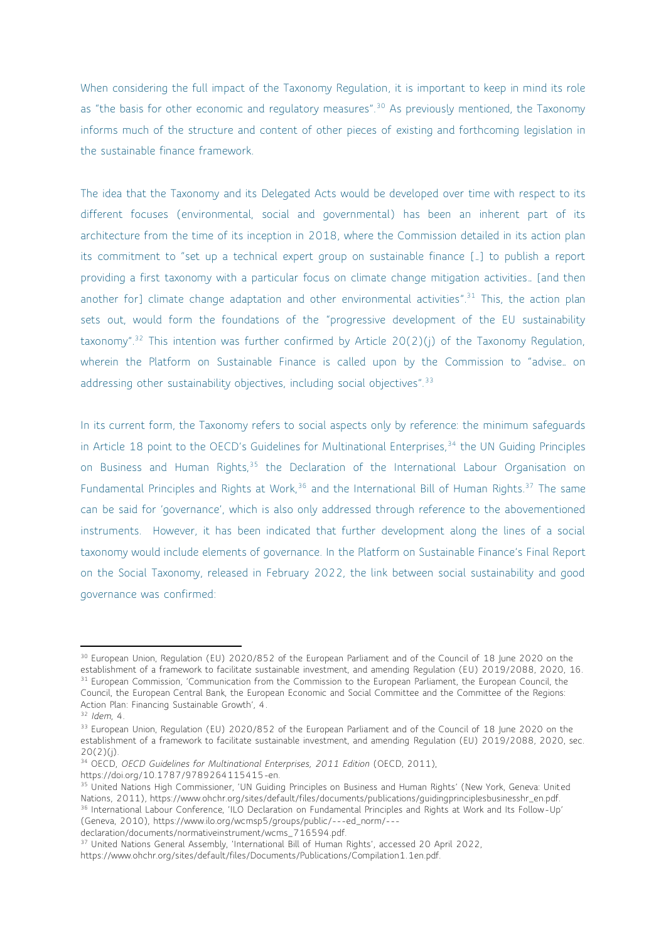When considering the full impact of the Taxonomy Regulation, it is important to keep in mind its role as "the basis for other economic and regulatory measures".<sup>30</sup> As previously mentioned, the Taxonomy informs much of the structure and content of other pieces of existing and forthcoming legislation in the sustainable finance framework.

The idea that the Taxonomy and its Delegated Acts would be developed over time with respect to its different focuses (environmental, social and governmental) has been an inherent part of its architecture from the time of its inception in 2018, where the Commission detailed in its action plan its commitment to "set up a technical expert group on sustainable finance […] to publish a report providing a first taxonomy with a particular focus on climate change mitigation activities… [and then another for] climate change adaptation and other environmental activities".<sup>31</sup> This, the action plan sets out, would form the foundations of the "progressive development of the EU sustainability taxonomy".<sup>32</sup> This intention was further confirmed by Article 20(2)(i) of the Taxonomy Regulation, wherein the Platform on Sustainable Finance is called upon by the Commission to "advise… on addressing other sustainability objectives, including social objectives".<sup>33</sup>

In its current form, the Taxonomy refers to social aspects only by reference: the minimum safeguards in Article 18 point to the OECD's Guidelines for Multinational Enterprises,<sup>34</sup> the UN Guiding Principles on Business and Human Rights,<sup>35</sup> the Declaration of the International Labour Organisation on Fundamental Principles and Rights at Work.<sup>36</sup> and the International Bill of Human Rights.<sup>37</sup> The same can be said for 'governance', which is also only addressed through reference to the abovementioned instruments. However, it has been indicated that further development along the lines of a social taxonomy would include elements of governance. In the Platform on Sustainable Finance's Final Report on the Social Taxonomy, released in February 2022, the link between social sustainability and good governance was confirmed:

declaration/documents/normativeinstrument/wcms\_716594.pdf.

<sup>&</sup>lt;sup>30</sup> European Union, Regulation (EU) 2020/852 of the European Parliament and of the Council of 18 June 2020 on the establishment of a framework to facilitate sustainable investment, and amending Regulation (EU) 2019/2088, 2020, 16. <sup>31</sup> European Commission, 'Communication from the Commission to the European Parliament, the European Council, the Council, the European Central Bank, the European Economic and Social Committee and the Committee of the Regions: Action Plan: Financing Sustainable Growth', 4.

<sup>32</sup> *Idem*, 4.

<sup>&</sup>lt;sup>33</sup> European Union, Regulation (EU) 2020/852 of the European Parliament and of the Council of 18 June 2020 on the establishment of a framework to facilitate sustainable investment, and amending Regulation (EU) 2019/2088, 2020, sec. 20(2)(j).

<sup>34</sup> OECD, *OECD Guidelines for Multinational Enterprises, 2011 Edition* (OECD, 2011),

https://doi.org/10.1787/9789264115415-en.

<sup>&</sup>lt;sup>35</sup> United Nations High Commissioner, 'UN Guiding Principles on Business and Human Rights' (New York, Geneva: United Nations, 2011), https://www.ohchr.org/sites/default/files/documents/publications/guidingprinciplesbusinesshr\_en.pdf. <sup>36</sup> International Labour Conference, 'ILO Declaration on Fundamental Principles and Rights at Work and Its Follow-Up' (Geneva, 2010), https://www.ilo.org/wcmsp5/groups/public/---ed\_norm/---

<sup>&</sup>lt;sup>37</sup> United Nations General Assembly, 'International Bill of Human Rights', accessed 20 April 2022, https://www.ohchr.org/sites/default/files/Documents/Publications/Compilation1.1en.pdf.